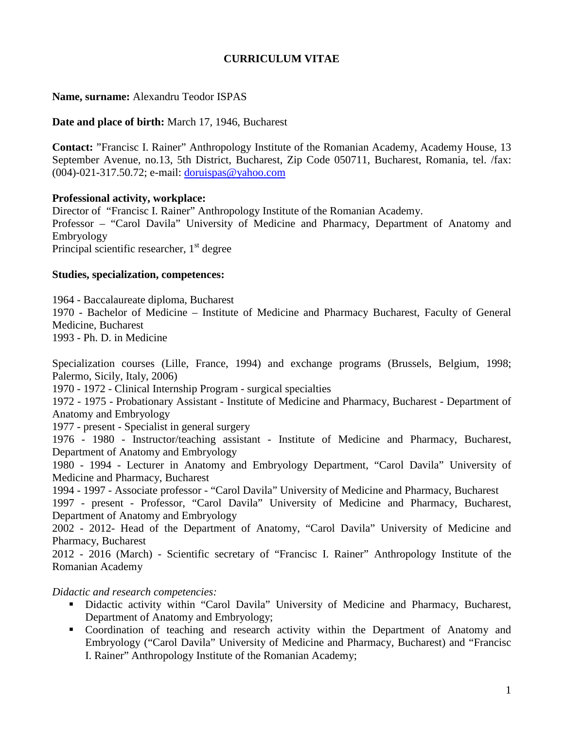# **CURRICULUM VITAE**

### **Name, surname:** Alexandru Teodor ISPAS

#### **Date and place of birth:** March 17, 1946, Bucharest

**Contact:** "Francisc I. Rainer" Anthropology Institute of the Romanian Academy, Academy House, 13 September Avenue, no.13, 5th District, Bucharest, Zip Code 050711, Bucharest, Romania, tel. /fax: (004)-021-317.50.72; e-mail: [doruispas@yahoo.com](mailto:doruispas@yahoo.com)

#### **Professional activity, workplace:**

Director of "Francisc I. Rainer" Anthropology Institute of the Romanian Academy. Professor – "Carol Davila" University of Medicine and Pharmacy, Department of Anatomy and Embryology Principal scientific researcher,  $1<sup>st</sup>$  degree

#### **Studies, specialization, competences:**

1964 - Baccalaureate diploma, Bucharest 1970 - Bachelor of Medicine – Institute of Medicine and Pharmacy Bucharest, Faculty of General Medicine, Bucharest 1993 - Ph. D. in Medicine

Specialization courses (Lille, France, 1994) and exchange programs (Brussels, Belgium, 1998; Palermo, Sicily, Italy, 2006)

1970 - 1972 - Clinical Internship Program - surgical specialties

1972 - 1975 - Probationary Assistant - Institute of Medicine and Pharmacy, Bucharest - Department of Anatomy and Embryology

1977 - present - Specialist in general surgery

1976 - 1980 - Instructor/teaching assistant - Institute of Medicine and Pharmacy, Bucharest, Department of Anatomy and Embryology

1980 - 1994 - Lecturer in Anatomy and Embryology Department, "Carol Davila" University of Medicine and Pharmacy, Bucharest

1994 - 1997 - Associate professor - "Carol Davila" University of Medicine and Pharmacy, Bucharest

1997 - present - Professor, "Carol Davila" University of Medicine and Pharmacy, Bucharest, Department of Anatomy and Embryology

2002 - 2012- Head of the Department of Anatomy, "Carol Davila" University of Medicine and Pharmacy, Bucharest

2012 - 2016 (March) - Scientific secretary of "Francisc I. Rainer" Anthropology Institute of the Romanian Academy

#### *Didactic and research competencies:*

- Didactic activity within "Carol Davila" University of Medicine and Pharmacy, Bucharest, Department of Anatomy and Embryology;
- Coordination of teaching and research activity within the Department of Anatomy and Embryology ("Carol Davila" University of Medicine and Pharmacy, Bucharest) and "Francisc I. Rainer" Anthropology Institute of the Romanian Academy;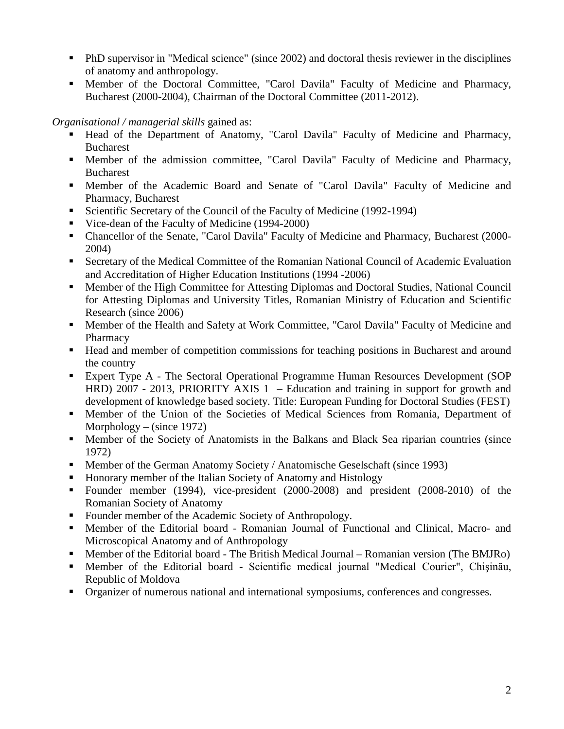- PhD supervisor in "Medical science" (since 2002) and doctoral thesis reviewer in the disciplines of anatomy and anthropology.
- Member of the Doctoral Committee, "Carol Davila" Faculty of Medicine and Pharmacy, Bucharest (2000-2004), Chairman of the Doctoral Committee (2011-2012).

*Organisational / managerial skills* gained as:

- Head of the Department of Anatomy, "Carol Davila" Faculty of Medicine and Pharmacy, Bucharest
- Member of the admission committee, "Carol Davila" Faculty of Medicine and Pharmacy, Bucharest
- Member of the Academic Board and Senate of "Carol Davila" Faculty of Medicine and Pharmacy, Bucharest
- Scientific Secretary of the Council of the Faculty of Medicine (1992-1994)
- Vice-dean of the Faculty of Medicine (1994-2000)
- Chancellor of the Senate, "Carol Davila" Faculty of Medicine and Pharmacy, Bucharest (2000- 2004)
- Secretary of the Medical Committee of the Romanian National Council of Academic Evaluation and Accreditation of Higher Education Institutions (1994 -2006)
- Member of the High Committee for Attesting Diplomas and Doctoral Studies, National Council for Attesting Diplomas and University Titles, Romanian Ministry of Education and Scientific Research (since 2006)
- Member of the Health and Safety at Work Committee, "Carol Davila" Faculty of Medicine and Pharmacy
- Head and member of competition commissions for teaching positions in Bucharest and around the country
- Expert Type A The Sectoral Operational Programme Human Resources Development (SOP HRD) 2007 - 2013, PRIORITY AXIS 1 – Education and training in support for growth and development of knowledge based society. Title: European Funding for Doctoral Studies (FEST)
- Member of the Union of the Societies of Medical Sciences from Romania, Department of Morphology – (since  $1972$ )
- Member of the Society of Anatomists in the Balkans and Black Sea riparian countries (since 1972)
- Member of the German Anatomy Society / Anatomische Geselschaft (since 1993)
- Honorary member of the Italian Society of Anatomy and Histology
- Founder member (1994), vice-president (2000-2008) and president (2008-2010) of the Romanian Society of Anatomy
- Founder member of the Academic Society of Anthropology.
- Member of the Editorial board Romanian Journal of Functional and Clinical, Macro- and Microscopical Anatomy and of Anthropology
- Member of the Editorial board The British Medical Journal Romanian version (The BMJRo)
- Member of the Editorial board Scientific medical journal "Medical Courier", Chişinău, Republic of Moldova
- Organizer of numerous national and international symposiums, conferences and congresses.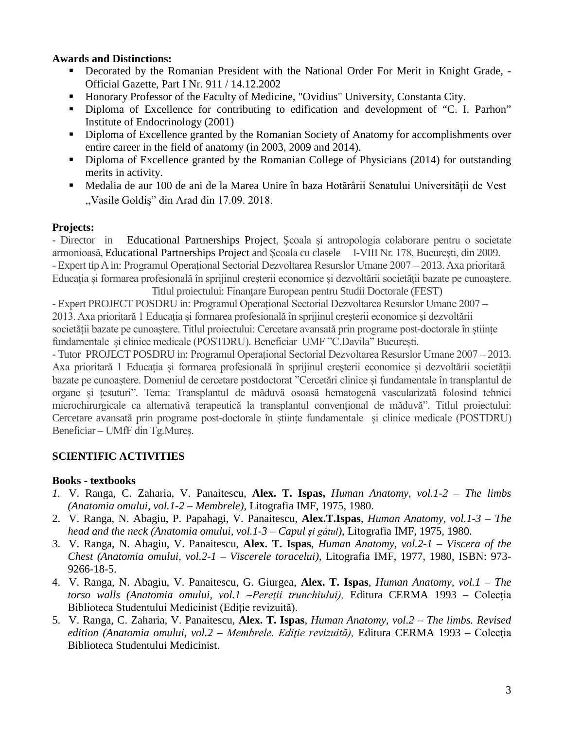### **Awards and Distinctions:**

- Decorated by the Romanian President with the National Order For Merit in Knight Grade, Official Gazette, Part I Nr. 911 / 14.12.2002
- Honorary Professor of the Faculty of Medicine, "Ovidius" University, Constanta City.
- Diploma of Excellence for contributing to edification and development of "C. I. Parhon" Institute of Endocrinology (2001)
- Diploma of Excellence granted by the Romanian Society of Anatomy for accomplishments over entire career in the field of anatomy (in 2003, 2009 and 2014).
- Diploma of Excellence granted by the Romanian College of Physicians (2014) for outstanding merits in activity.
- Medalia de aur 100 de ani de la Marea Unire în baza Hotărârii Senatului Universității de Vest ,,Vasile Goldiș" din Arad din 17.09. 2018.

#### **Projects:**

- Director in Educational Partnerships Project, Şcoala şi antropologia colaborare pentru o societate armonioasă, Educational Partnerships Project and Şcoala cu clasele I-VIII Nr. 178, Bucureşti, din 2009. - Expert tip A in: Programul Operațional Sectorial Dezvoltarea Resurslor Umane 2007 – 2013. Axa prioritară Educația și formarea profesională în sprijinul creșterii economice și dezvoltării societății bazate pe cunoaștere.

Titlul proiectului: Finanțare European pentru Studii Doctorale (FEST) - Expert PROJECT POSDRU in: Programul Operațional Sectorial Dezvoltarea Resurslor Umane 2007 – 2013. Axa prioritară 1 Educația și formarea profesională în sprijinul creșterii economice și dezvoltării societății bazate pe cunoaștere. Titlul proiectului: Cercetare avansată prin programe post-doctorale în științe fundamentale și clinice medicale (POSTDRU). Beneficiar UMF "C.Davila" București.

- Tutor PROJECT POSDRU in: Programul Operațional Sectorial Dezvoltarea Resurslor Umane 2007 – 2013. Axa prioritară 1 Educația și formarea profesională în sprijinul creșterii economice și dezvoltării societății bazate pe cunoaștere. Domeniul de cercetare postdoctorat "Cercetări clinice și fundamentale în transplantul de organe și țesuturi". Tema: Transplantul de măduvă osoasă hematogenă vascularizată folosind tehnici microchirurgicale ca alternativă terapeutică la transplantul convențional de măduvă". Titlul proiectului: Cercetare avansată prin programe post-doctorale în științe fundamentale și clinice medicale (POSTDRU) Beneficiar – UMfF din Tg.Mureș.

## **SCIENTIFIC ACTIVITIES**

#### **Books - textbooks**

- *1.* V. Ranga, C. Zaharia, V. Panaitescu, **Alex. T. Ispas,** *Human Anatomy, vol.1-2 – The limbs (Anatomia omului, vol.1-2 – Membrele)*, Litografia IMF, 1975, 1980.
- 2. V. Ranga, N. Abagiu, P. Papahagi, V. Panaitescu, **Alex.T.Ispas**, *Human Anatomy, vol.1-3 – The head and the neck (Anatomia omului, vol.1-3 – Capul şi gâtul)*, Litografia IMF, 1975, 1980.
- 3. V. Ranga, N. Abagiu, V. Panaitescu, **Alex. T. Ispas**, *Human Anatomy, vol.2-1 – Viscera of the Chest (Anatomia omului, vol.2-1 – Viscerele toracelui),* Litografia IMF, 1977, 1980, ISBN: 973- 9266-18-5.
- 4. V. Ranga, N. Abagiu, V. Panaitescu, G. Giurgea, **Alex. T. Ispas**, *Human Anatomy, vol.1 – The torso walls (Anatomia omului, vol.1 –Pereţii trunchiului),* Editura CERMA 1993 – Colecţia Biblioteca Studentului Medicinist (Ediţie revizuită).
- 5. V. Ranga, C. Zaharia, V. Panaitescu, **Alex. T. Ispas**, *Human Anatomy, vol.2 – The limbs. Revised edition (Anatomia omului, vol.2 – Membrele. Ediţie revizuită),* Editura CERMA 1993 – Colecţia Biblioteca Studentului Medicinist.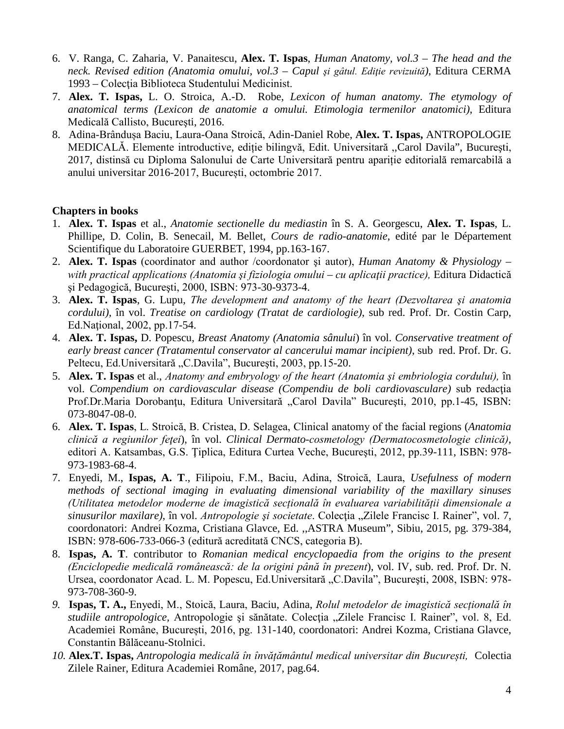- 6. V. Ranga, C. Zaharia, V. Panaitescu, **Alex. T. Ispas**, *Human Anatomy, vol.3 – The head and the neck. Revised edition (Anatomia omului, vol.3 – Capul şi gâtul. Ediţie revizuită)*, Editura CERMA 1993 – Colecţia Biblioteca Studentului Medicinist.
- 7. **Alex. T. Ispas,** L. O. Stroica, A.-D. Robe, *Lexicon of human anatomy*. *The etymology of anatomical terms (Lexicon de anatomie a omului. Etimologia termenilor anatomici)*, Editura Medicală Callisto, Bucureşti, 2016.
- 8. Adina-Brândușa Baciu, Laura-Oana Stroică, Adin-Daniel Robe, **Alex. T. Ispas,** ANTROPOLOGIE MEDICALĂ. Elemente introductive, ediție bilingvă, Edit. Universitară ,,Carol Davila", Bucureşti, 2017, distinsă cu Diploma Salonului de Carte Universitară pentru apariție editorială remarcabilă a anului universitar 2016-2017, București, octombrie 2017.

## **Chapters in books**

- 1. **Alex. T. Ispas** et al., *Anatomie sectionelle du mediastin* în S. A. Georgescu, **Alex. T. Ispas**, L. Phillipe, D. Colin, B. Senecail, M. Bellet, *Cours de radio-anatomie*, edité par le Département Scientifique du Laboratoire GUERBET, 1994, pp.163-167.
- 2. **Alex. T. Ispas** (coordinator and author /coordonator şi autor), *Human Anatomy & Physiology* – *with practical applications (Anatomia şi fiziologia omului – cu aplicaţii practice),* Editura Didactică şi Pedagogică, Bucureşti, 2000, ISBN: 973-30-9373-4.
- 3. **Alex. T. Ispas**, G. Lupu, *The development and anatomy of the heart (Dezvoltarea şi anatomia cordului),* în vol. *Treatise on cardiology (Tratat de cardiologie)*, sub red. Prof. Dr. Costin Carp, Ed. National, 2002, pp. 17-54.
- 4. **Alex. T. Ispas,** D. Popescu, *Breast Anatomy (Anatomia sânului*) în vol. *Conservative treatment of early breast cancer (Tratamentul conservator al cancerului mamar incipient)*, sub red. Prof. Dr. G. Peltecu, Ed.Universitară "C.Davila", București, 2003, pp.15-20.
- 5. **Alex. T. Ispas** et al., *Anatomy and embryology of the heart (Anatomia şi embriologia cordului),* în vol. *Compendium on cardiovascular disease (Compendiu de boli cardiovasculare)* sub redacţia Prof.Dr.Maria Dorobanțu, Editura Universitară "Carol Davila" București, 2010, pp.1-45, ISBN: 073-8047-08-0.
- 6. **Alex. T. Ispas**, L. Stroică, B. Cristea, D. Selagea, Clinical anatomy of the facial regions (*Anatomia clinică a regiunilor feţei*), în vol. *Clinical Dermato-cosmetology (Dermatocosmetologie clinică)*, editori A. Katsambas, G.S. Ţiplica, Editura Curtea Veche, Bucureşti, 2012, pp.39-111, ISBN: 978- 973-1983-68-4.
- 7. Enyedi, M., **Ispas, A. T**., Filipoiu, F.M., Baciu, Adina, Stroică, Laura, *Usefulness of modern methods of sectional imaging in evaluating dimensional variability of the maxillary sinuses (Utilitatea metodelor moderne de imagistică secțională în evaluarea variabilității dimensionale a sinusurilor maxilare)*, în vol. *Antropologie şi societate*. Colecţia "Zilele Francisc I. Rainer", vol. 7, coordonatori: Andrei Kozma, Cristiana Glavce, Ed. ,,ASTRA Museum", Sibiu, 2015, pg. 379-384, ISBN: 978-606-733-066-3 (editură acreditată CNCS, categoria B).
- 8. **Ispas, A. T**. contributor to *Romanian medical encyclopaedia from the origins to the present (Enciclopedie medicală românească: de la origini până în prezent*), vol. IV, sub. red. Prof. Dr. N. Ursea, coordonator Acad. L. M. Popescu, Ed.Universitară "C.Davila", București, 2008, ISBN: 978-973-708-360-9.
- *9.* **Ispas, T. A.,** Enyedi, M., Stoică, Laura, Baciu, Adina, *Rolul metodelor de imagistică secțională în*  studiile antropologice, Antropologie și sănătate. Colecția "Zilele Francisc I. Rainer", vol. 8, Ed. Academiei Române, București, 2016, pg. 131-140, coordonatori: Andrei Kozma, Cristiana Glavce, Constantin Bălăceanu-Stolnici.
- *10.* **Alex.T. Ispas,** *Antropologia medicală în învățământul medical universitar din București,* Colectia Zilele Rainer, Editura Academiei Române, 2017, pag.64.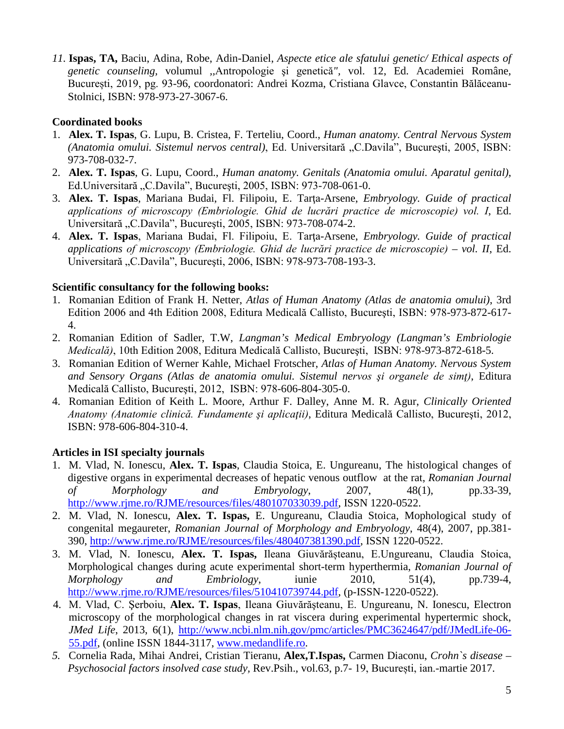*11.* **Ispas, TA,** Baciu, Adina, Robe, Adin-Daniel, *Aspecte etice ale sfatului genetic/ Ethical aspects of genetic counseling,* volumul *,,*Antropologie şi genetică*",* vol. 12, Ed. Academiei Române, București, 2019, pg. 93-96, coordonatori: Andrei Kozma, Cristiana Glavce, Constantin Bălăceanu-Stolnici, ISBN: 978-973-27-3067-6.

# **Coordinated books**

- 1. **Alex. T. Ispas**, G. Lupu, B. Cristea, F. Terteliu, Coord., *Human anatomy. Central Nervous System (Anatomia omului. Sistemul nervos central)*, Ed. Universitară "C.Davila", Bucureşti, 2005, ISBN: 973-708-032-7.
- 2. **Alex. T. Ispas**, G. Lupu, Coord., *Human anatomy. Genitals (Anatomia omului. Aparatul genital)*, Ed.Universitară "C.Davila", București, 2005, ISBN: 973-708-061-0.
- 3. **Alex. T. Ispas**, Mariana Budai, Fl. Filipoiu, E. Tarţa-Arsene, *Embryology. Guide of practical applications of microscopy (Embriologie. Ghid de lucrări practice de microscopie) vol. I*, Ed. Universitară "C.Davila", București, 2005, ISBN: 973-708-074-2.
- 4. **Alex. T. Ispas**, Mariana Budai, Fl. Filipoiu, E. Tarţa-Arsene, *Embryology. Guide of practical applications of microscopy (Embriologie. Ghid de lucrări practice de microscopie) – vol. II*, Ed. Universitară "C.Davila", București, 2006, ISBN: 978-973-708-193-3.

## **Scientific consultancy for the following books:**

- 1. Romanian Edition of Frank H. Netter, *Atlas of Human Anatomy (Atlas de anatomia omului)*, 3rd Edition 2006 and 4th Edition 2008, Editura Medicală Callisto, Bucureşti, ISBN: 978-973-872-617- 4.
- 2. Romanian Edition of Sadler, T.W, *Langman's Medical Embryology (Langman's Embriologie Medicală)*, 10th Edition 2008, Editura Medicală Callisto, Bucureşti, ISBN: 978-973-872-618-5.
- 3. Romanian Edition of Werner Kahle, Michael Frotscher, *Atlas of Human Anatomy. Nervous System and Sensory Organs (Atlas de anatomia omului. Sistemul nervos şi organele de simţ)*, Editura Medicală Callisto, Bucureşti, 2012, ISBN: 978-606-804-305-0.
- 4. Romanian Edition of Keith L. Moore, Arthur F. Dalley, Anne M. R. Agur, *Clinically Oriented Anatomy (Anatomie clinică. Fundamente şi aplicaţii)*, Editura Medicală Callisto, Bucureşti, 2012, ISBN: 978-606-804-310-4.

# **Articles in ISI specialty journals**

- 1. M. Vlad, N. Ionescu, **Alex. T. Ispas**, Claudia Stoica, E. Ungureanu, The histological changes of digestive organs in experimental decreases of hepatic venous outflow at the rat, *Romanian Journal of Morphology and Embryology*, 2007, 48(1), pp.33-39, [http://www.rjme.ro/RJME/resources/files/480107033039.pdf,](http://www.rjme.ro/RJME/resources/files/480107033039.pdf) ISSN 1220-0522.
- 2. M. Vlad, N. Ionescu, **Alex. T. Ispas,** E. Ungureanu, Claudia Stoica, Mophological study of congenital megaureter, *Romanian Journal of Morphology and Embryology*, 48(4), 2007, pp.381- 390, [http://www.rjme.ro/RJME/resources/files/480407381390.pdf,](http://www.rjme.ro/RJME/resources/files/480407381390.pdf) ISSN 1220-0522.
- 3. M. Vlad, N. Ionescu, **Alex. T. Ispas,** Ileana Giuvărășteanu, E.Ungureanu, Claudia Stoica, Morphological changes during acute experimental short-term hyperthermia, *Romanian Journal of Morphology and Embriology*, iunie 2010, 51(4), pp.739-4, [http://www.rjme.ro/RJME/resources/files/510410739744.pdf,](http://www.rjme.ro/RJME/resources/files/510410739744.pdf) (p-ISSN-1220-0522).
- 4. M. Vlad, C. Şerboiu, **Alex. T. Ispas**, Ileana Giuvărăşteanu, E. Ungureanu, N. Ionescu, Electron microscopy of the morphological changes in rat viscera during experimental hypertermic shock, *JMed Life*, 2013, 6(1), [http://www.ncbi.nlm.nih.gov/pmc/articles/PMC3624647/pdf/JMedLife-06-](http://www.ncbi.nlm.nih.gov/pmc/articles/PMC3624647/pdf/JMedLife-06-55.pdf) [55.pdf,](http://www.ncbi.nlm.nih.gov/pmc/articles/PMC3624647/pdf/JMedLife-06-55.pdf) (online ISSN 1844-3117, [www.medandlife.ro.](http://www.medandlife.ro/)
- *5.* Cornelia Rada, Mihai Andrei, Cristian Tieranu, **Alex,T.Ispas,** Carmen Diaconu, *Crohn`s disease – Psychosocial factors insolved case study,* Rev.Psih., vol.63, p.7- 19, București, ian.-martie 2017.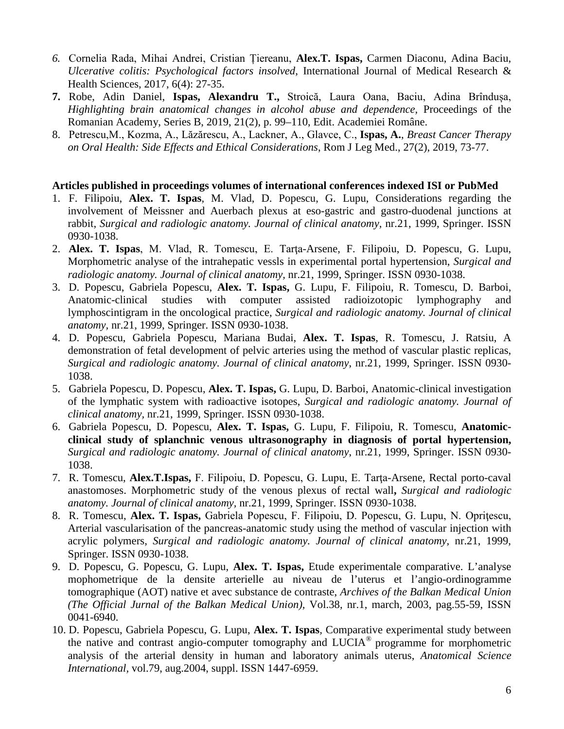- *6.* Cornelia Rada, Mihai Andrei, Cristian Țiereanu, **Alex.T. Ispas,** Carmen Diaconu, Adina Baciu, *Ulcerative colitis: Psychological factors insolved,* International Journal of Medical Research & Health Sciences, 2017, 6(4): 27-35.
- **7.** Robe, Adin Daniel, **Ispas, Alexandru T.,** Stroică, Laura Oana, Baciu, Adina Brîndușa, *Highlighting brain anatomical changes in alcohol abuse and dependence,* Proceedings of the Romanian Academy, Series B, 2019, 21(2), p. 99–110, Edit. Academiei Române.
- 8. Petrescu,M., Kozma, A., Lăzărescu, A., Lackner, A., Glavce, C., **Ispas, A.**, *Breast Cancer Therapy on Oral Health: Side Effects and Ethical Considerations*, Rom J Leg Med., 27(2), 2019, 73-77.

#### **Articles published in proceedings volumes of international conferences indexed ISI or PubMed**

- 1. F. Filipoiu, **Alex. T. Ispas**, M. Vlad, D. Popescu, G. Lupu, Considerations regarding the involvement of Meissner and Auerbach plexus at eso-gastric and gastro-duodenal junctions at rabbit, *Surgical and radiologic anatomy. Journal of clinical anatomy,* nr.21, 1999, Springer. ISSN 0930-1038.
- 2. **Alex. T. Ispas**, M. Vlad, R. Tomescu, E. Tarţa-Arsene, F. Filipoiu, D. Popescu, G. Lupu, Morphometric analyse of the intrahepatic vessls in experimental portal hypertension, *Surgical and radiologic anatomy. Journal of clinical anatomy,* nr.21, 1999, Springer. ISSN 0930-1038.
- 3. D. Popescu, Gabriela Popescu, **Alex. T. Ispas,** G. Lupu, F. Filipoiu, R. Tomescu, D. Barboi, Anatomic-clinical studies with computer assisted radioizotopic lymphography and lymphoscintigram in the oncological practice, *Surgical and radiologic anatomy. Journal of clinical anatomy,* nr.21, 1999, Springer. ISSN 0930-1038.
- 4. D. Popescu, Gabriela Popescu, Mariana Budai, **Alex. T. Ispas**, R. Tomescu, J. Ratsiu, A demonstration of fetal development of pelvic arteries using the method of vascular plastic replicas, *Surgical and radiologic anatomy. Journal of clinical anatomy*, nr.21, 1999, Springer. ISSN 0930- 1038.
- 5. Gabriela Popescu, D. Popescu, **Alex. T. Ispas,** G. Lupu, D. Barboi, Anatomic-clinical investigation of the lymphatic system with radioactive isotopes, *Surgical and radiologic anatomy. Journal of clinical anatomy,* nr.21, 1999, Springer. ISSN 0930-1038.
- 6. Gabriela Popescu, D. Popescu, **Alex. T. Ispas,** G. Lupu, F. Filipoiu, R. Tomescu, **Anatomicclinical study of splanchnic venous ultrasonography in diagnosis of portal hypertension,**  *Surgical and radiologic anatomy. Journal of clinical anatomy*, nr.21, 1999, Springer. ISSN 0930- 1038.
- 7. R. Tomescu, **Alex.T.Ispas,** F. Filipoiu, D. Popescu, G. Lupu, E. Tarţa-Arsene, Rectal porto-caval anastomoses. Morphometric study of the venous plexus of rectal wall**,** *Surgical and radiologic anatomy. Journal of clinical anatomy,* nr.21, 1999, Springer. ISSN 0930-1038.
- 8. R. Tomescu, **Alex. T. Ispas,** Gabriela Popescu, F. Filipoiu, D. Popescu, G. Lupu, N. Opriţescu, Arterial vascularisation of the pancreas-anatomic study using the method of vascular injection with acrylic polymers, *Surgical and radiologic anatomy. Journal of clinical anatomy,* nr.21, 1999, Springer. ISSN 0930-1038.
- 9. D. Popescu, G. Popescu, G. Lupu, **Alex. T. Ispas,** Etude experimentale comparative. L'analyse mophometrique de la densite arterielle au niveau de l'uterus et l'angio-ordinogramme tomographique (AOT) native et avec substance de contraste, *Archives of the Balkan Medical Union (The Official Jurnal of the Balkan Medical Union),* Vol.38, nr.1, march, 2003, pag.55-59, ISSN 0041-6940.
- 10. D. Popescu, Gabriela Popescu, G. Lupu, **Alex. T. Ispas***,* Comparative experimental study between the native and contrast angio-computer tomography and  $LUCA^{\circledast}$  programme for morphometric analysis of the arterial density in human and laboratory animals uterus, *Anatomical Science International,* vol.79, aug.2004, suppl. ISSN 1447-6959.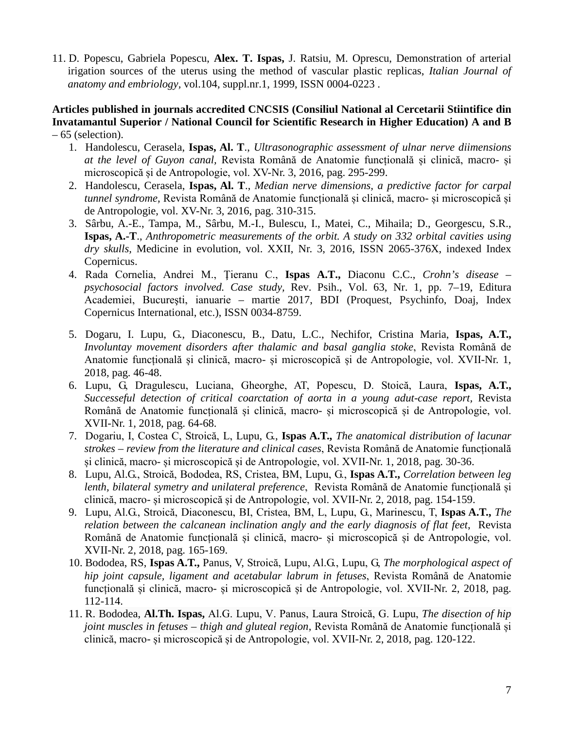11. D. Popescu, Gabriela Popescu, **Alex. T. Ispas,** J. Ratsiu, M. Oprescu, Demonstration of arterial irigation sources of the uterus using the method of vascular plastic replicas, *Italian Journal of anatomy and embriology,* vol.104, suppl.nr.1, 1999, ISSN 0004-0223 .

#### **Articles published in journals accredited CNCSIS (Consiliul National al Cercetarii Stiintifice din Invatamantul Superior / National Council for Scientific Research in Higher Education) A and B**  – 65 (selection).

- 1. Handolescu, Cerasela, **Ispas, Al. T**., *Ultrasonographic assessment of ulnar nerve diimensions at the level of Guyon canal,* Revista Română de Anatomie funcțională și clinică, macro- și microscopică și de Antropologie, vol. XV-Nr. 3, 2016, pag. 295-299.
- 2. Handolescu, Cerasela, **Ispas, Al. T**., *Median nerve dimensions, a predictive factor for carpal tunnel syndrome,* Revista Română de Anatomie funcțională și clinică, macro- și microscopică și de Antropologie, vol. XV-Nr. 3, 2016, pag. 310-315.
- 3. Sârbu, A.-E., Tampa, M., Sârbu, M.-I., Bulescu, I., Matei, C., Mihaila; D., Georgescu, S.R., **Ispas, A.-T**., *Anthropometric measurements of the orbit. A study on 332 orbital cavities using dry skulls,* Medicine in evolution, vol. XXII, Nr. 3, 2016, ISSN 2065-376X, indexed Index Copernicus.
- 4. Rada Cornelia, Andrei M., Ţieranu C., **Ispas A.T.,** Diaconu C.C., *Crohn's disease – psychosocial factors involved. Case study,* Rev. Psih., Vol. 63, Nr. 1, pp. 7–19, Editura Academiei, Bucureşti, ianuarie – martie 2017, BDI (Proquest, Psychinfo, Doaj, Index Copernicus International, etc.), ISSN 0034-8759.
- 5. Dogaru, I. Lupu, G., Diaconescu, B., Datu, L.C., Nechifor, Cristina Maria, **Ispas, A.T.,** *Involuntay movement disorders after thalamic and basal ganglia stoke*, Revista Română de Anatomie funcțională și clinică, macro- și microscopică și de Antropologie, vol. XVII-Nr. 1, 2018, pag. 46-48.
- 6. Lupu, G, Dragulescu, Luciana, Gheorghe, AT, Popescu, D. Stoică, Laura, **Ispas, A.T.,** *Successeful detection of critical coarctation of aorta in a young adut-case report,* Revista Română de Anatomie funcțională și clinică, macro- și microscopică și de Antropologie, vol. XVII-Nr. 1, 2018, pag. 64-68.
- 7. Dogariu, I, Costea C, Stroică, L, Lupu, G., **Ispas A.T.,** *The anatomical distribution of lacunar strokes – review from the literature and clinical cases*, Revista Română de Anatomie funcțională și clinică, macro- și microscopică și de Antropologie, vol. XVII-Nr. 1, 2018, pag. 30-36.
- 8. Lupu, Al.G., Stroică, Bododea, RS, Cristea, BM, Lupu, G., **Ispas A.T.,** *Correlation between leg lenth, bilateral symetry and unilateral preference*, Revista Română de Anatomie funcțională și clinică, macro- și microscopică și de Antropologie, vol. XVII-Nr. 2, 2018, pag. 154-159.
- 9. Lupu, Al.G., Stroică, Diaconescu, BI, Cristea, BM, L, Lupu, G., Marinescu, T, **Ispas A.T.,** *The relation between the calcanean inclination angly and the early diagnosis of flat feet*, Revista Română de Anatomie funcțională și clinică, macro- și microscopică și de Antropologie, vol. XVII-Nr. 2, 2018, pag. 165-169.
- 10. Bododea, RS, **Ispas A.T.,** Panus, V, Stroică, Lupu, Al.G., Lupu, G, *The morphological aspect of hip joint capsule, ligament and acetabular labrum in fetuses*, Revista Română de Anatomie funcțională și clinică, macro- și microscopică și de Antropologie, vol. XVII-Nr. 2, 2018, pag. 112-114.
- 11. R. Bododea, **Al.Th. Ispas,** Al.G. Lupu, V. Panus, Laura Stroică, G. Lupu, *[The disection of hip](http://revanatomie.ro/ro/abstract.php?an_rev=2018&nr_rev=2&nr_art=5)  [joint muscles in fetuses –](http://revanatomie.ro/ro/abstract.php?an_rev=2018&nr_rev=2&nr_art=5) thigh and gluteal region*, Revista Română de Anatomie funcțională și clinică, macro- și microscopică și de Antropologie, vol. XVII-Nr. 2, 2018, pag. 120-122.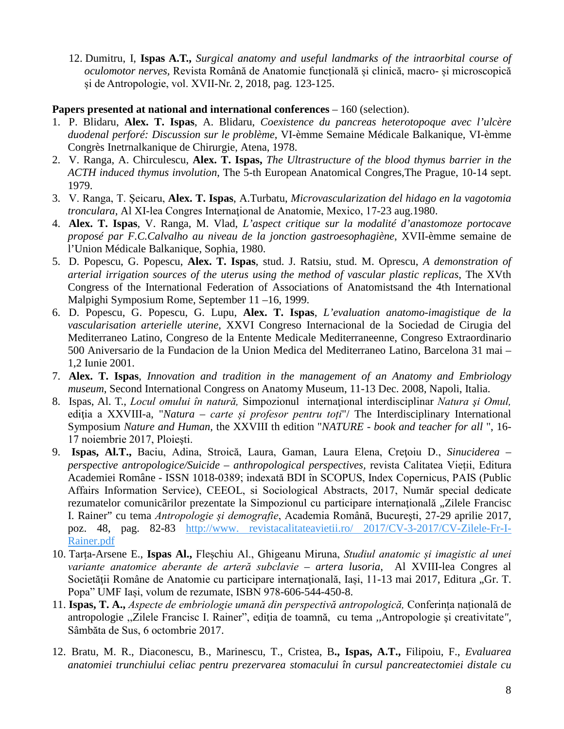12. Dumitru, I, **Ispas A.T.,** *[Surgical anatomy and useful landmarks of the intraorbital course of](http://revanatomie.ro/ro/abstract.php?an_rev=2018&nr_rev=2&nr_art=6)  [oculomotor nerves,](http://revanatomie.ro/ro/abstract.php?an_rev=2018&nr_rev=2&nr_art=6)* Revista Română de Anatomie funcțională și clinică, macro- și microscopică și de Antropologie, vol. XVII-Nr. 2, 2018, pag. 123-125.

#### **Papers presented at national and international conferences** – 160 (selection).

- 1. P. Blidaru, **Alex. T. Ispas**, A. Blidaru, *Coexistence du pancreas heterotopoque avec l'ulcère duodenal perforé: Discussion sur le problème*, VI-èmme Semaine Médicale Balkanique, VI-èmme Congrès Inetrnalkanique de Chirurgie, Atena, 1978.
- 2. V. Ranga, A. Chirculescu, **Alex. T. Ispas,** *The Ultrastructure of the blood thymus barrier in the ACTH induced thymus involution*, The 5-th European Anatomical Congres,The Prague, 10-14 sept. 1979.
- 3. V. Ranga, T. Şeicaru, **Alex. T. Ispas**, A.Turbatu, *Microvascularization del hidago en la vagotomia tronculara*, Al XI-lea Congres Internaţional de Anatomie, Mexico, 17-23 aug.1980.
- 4. **Alex. T. Ispas**, V. Ranga, M. Vlad, *L'aspect critique sur la modalité d'anastomoze portocave proposé par F.C.Calvalho au niveau de la jonction gastroesophagiène*, XVII-èmme semaine de l'Union Médicale Balkanique, Sophia, 1980.
- 5. D. Popescu, G. Popescu, **Alex. T. Ispas**, stud. J. Ratsiu, stud. M. Oprescu, *A demonstration of arterial irrigation sources of the uterus using the method of vascular plastic replicas*, The XVth Congress of the International Federation of Associations of Anatomistsand the 4th International Malpighi Symposium Rome, September 11 –16, 1999.
- 6. D. Popescu, G. Popescu, G. Lupu, **Alex. T. Ispas**, *L'evaluation anatomo-imagistique de la vascularisation arterielle uterine*, XXVI Congreso Internacional de la Sociedad de Cirugia del Mediterraneo Latino, Congreso de la Entente Medicale Mediterraneenne, Congreso Extraordinario 500 Aniversario de la Fundacion de la Union Medica del Mediterraneo Latino, Barcelona 31 mai – 1,2 Iunie 2001.
- 7. **Alex. T. Ispas**, *Innovation and tradition in the management of an Anatomy and Embriology museum*, Second International Congress on Anatomy Museum, 11-13 Dec. 2008, Napoli, Italia.
- 8. Ispas, Al. T., *Locul omului în natură,* Simpozionul internaţional interdisciplinar *Natura şi Omul,*  ediţia a XXVIII-a, "*Natura – carte și profesor pentru toți*"/ The Interdisciplinary International Symposium *Nature and Human,* the XXVIII th edition "*NATURE - book and teacher for all* ", 16- 17 noiembrie 2017, Ploieşti.
- 9. **Ispas, Al.T.,** Baciu, Adina, Stroică, Laura, Gaman, Laura Elena, Creţoiu D., *Sinuciderea – perspective antropologice/Suicide – anthropological perspectives,* revista Calitatea Vieții, Editura Academiei Române - ISSN 1018-0389; indexată BDI în SCOPUS, Index Copernicus, PAIS (Public Affairs Information Service), CEEOL, si Sociological Abstracts, 2017, Număr special dedicate rezumatelor comunicãrilor prezentate la Simpozionul cu participare internațională "Zilele Francisc I. Rainer" cu tema *Antropologie și demografie*, Academia Română, Bucureşti, 27-29 aprilie 2017, poz. 48, pag. 82-83 [http://www. revistacalitateavietii.ro/ 2017/CV-3-2017/CV-Zilele-Fr-I-](http://www.revistacalitateavietii.ro/2017/CV-3-2017/CV-Zilele-Fr-I-Rainer.pdf)[Rainer.pdf](http://www.revistacalitateavietii.ro/2017/CV-3-2017/CV-Zilele-Fr-I-Rainer.pdf)
- 10. Tarța-Arsene E., **Ispas Al.,** Fleșchiu Al., Ghigeanu Miruna, *Studiul anatomic și imagistic al unei variante anatomice aberante de arteră subclavie – artera lusoria*, Al XVIII-lea Congres al Societății Române de Anatomie cu participare internațională, Iași, 11-13 mai 2017, Editura "Gr. T. Popa" UMF Iași, volum de rezumate, ISBN 978-606-544-450-8.
- 11. **Ispas, T. A.,** *Aspecte de embriologie umană din perspectivă antropologică,* Conferința națională de antropologie ,,Zilele Francisc I. Rainer", ediţia de toamnă, cu tema *,,*Antropologie şi creativitate*",* Sâmbăta de Sus, 6 octombrie 2017.
- 12. Bratu, M. R., Diaconescu, B., Marinescu, T., Cristea, B**., Ispas, A.T.,** Filipoiu, F., *Evaluarea anatomiei trunchiului celiac pentru prezervarea stomacului în cursul pancreatectomiei distale cu*